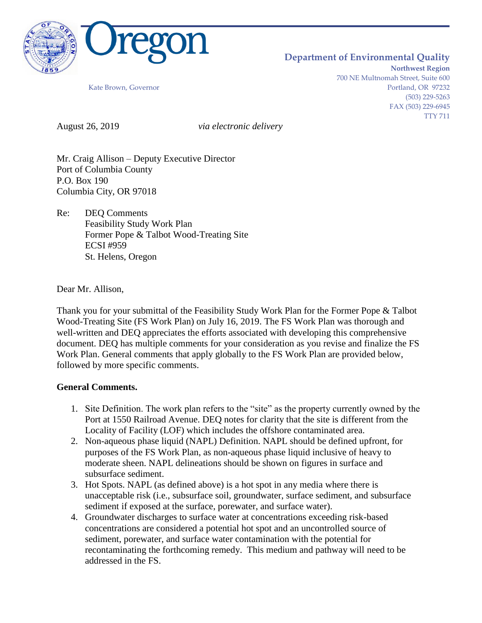

## **Department of Environmental Quality**

**Northwest Region** 700 NE Multnomah Street, Suite 600 Kate Brown, Governor **Portland, OR 97232** (503) 229-5263 FAX (503) 229-6945 TTY 711

August 26, 2019 *via electronic delivery*

Mr. Craig Allison – Deputy Executive Director Port of Columbia County P.O. Box 190 Columbia City, OR 97018

Re: DEQ Comments Feasibility Study Work Plan Former Pope & Talbot Wood-Treating Site ECSI #959 St. Helens, Oregon

Dear Mr. Allison,

Thank you for your submittal of the Feasibility Study Work Plan for the Former Pope & Talbot Wood-Treating Site (FS Work Plan) on July 16, 2019. The FS Work Plan was thorough and well-written and DEQ appreciates the efforts associated with developing this comprehensive document. DEQ has multiple comments for your consideration as you revise and finalize the FS Work Plan. General comments that apply globally to the FS Work Plan are provided below, followed by more specific comments.

## **General Comments.**

- 1. Site Definition. The work plan refers to the "site" as the property currently owned by the Port at 1550 Railroad Avenue. DEQ notes for clarity that the site is different from the Locality of Facility (LOF) which includes the offshore contaminated area.
- 2. Non-aqueous phase liquid (NAPL) Definition. NAPL should be defined upfront, for purposes of the FS Work Plan, as non-aqueous phase liquid inclusive of heavy to moderate sheen. NAPL delineations should be shown on figures in surface and subsurface sediment.
- 3. Hot Spots. NAPL (as defined above) is a hot spot in any media where there is unacceptable risk (i.e., subsurface soil, groundwater, surface sediment, and subsurface sediment if exposed at the surface, porewater, and surface water).
- 4. Groundwater discharges to surface water at concentrations exceeding risk-based concentrations are considered a potential hot spot and an uncontrolled source of sediment, porewater, and surface water contamination with the potential for recontaminating the forthcoming remedy. This medium and pathway will need to be addressed in the FS.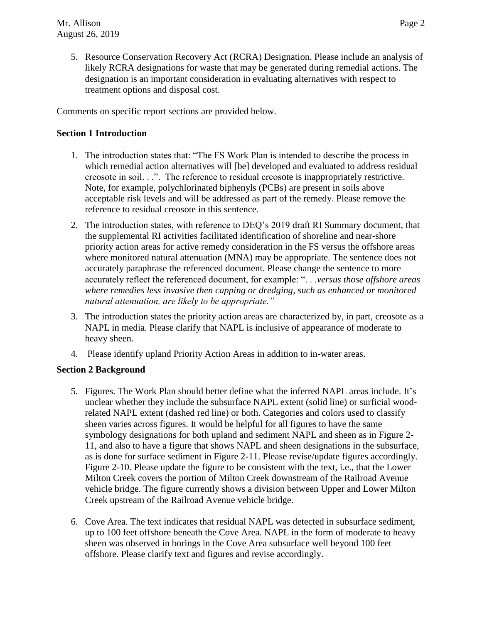- 
- 5. Resource Conservation Recovery Act (RCRA) Designation. Please include an analysis of likely RCRA designations for waste that may be generated during remedial actions. The designation is an important consideration in evaluating alternatives with respect to treatment options and disposal cost.

Comments on specific report sections are provided below.

### **Section 1 Introduction**

- 1. The introduction states that: "The FS Work Plan is intended to describe the process in which remedial action alternatives will [be] developed and evaluated to address residual creosote in soil. . .". The reference to residual creosote is inappropriately restrictive. Note, for example, polychlorinated biphenyls (PCBs) are present in soils above acceptable risk levels and will be addressed as part of the remedy. Please remove the reference to residual creosote in this sentence.
- 2. The introduction states, with reference to DEQ's 2019 draft RI Summary document, that the supplemental RI activities facilitated identification of shoreline and near-shore priority action areas for active remedy consideration in the FS versus the offshore areas where monitored natural attenuation (MNA) may be appropriate. The sentence does not accurately paraphrase the referenced document. Please change the sentence to more accurately reflect the referenced document, for example: ". . .*versus those offshore areas where remedies less invasive then capping or dredging, such as enhanced or monitored natural attenuation, are likely to be appropriate."*
- 3. The introduction states the priority action areas are characterized by, in part, creosote as a NAPL in media. Please clarify that NAPL is inclusive of appearance of moderate to heavy sheen.
- 4. Please identify upland Priority Action Areas in addition to in-water areas.

## **Section 2 Background**

- 5. Figures. The Work Plan should better define what the inferred NAPL areas include. It's unclear whether they include the subsurface NAPL extent (solid line) or surficial woodrelated NAPL extent (dashed red line) or both. Categories and colors used to classify sheen varies across figures. It would be helpful for all figures to have the same symbology designations for both upland and sediment NAPL and sheen as in Figure 2- 11, and also to have a figure that shows NAPL and sheen designations in the subsurface, as is done for surface sediment in Figure 2-11. Please revise/update figures accordingly. Figure 2-10. Please update the figure to be consistent with the text, i.e., that the Lower Milton Creek covers the portion of Milton Creek downstream of the Railroad Avenue vehicle bridge. The figure currently shows a division between Upper and Lower Milton Creek upstream of the Railroad Avenue vehicle bridge.
- 6. Cove Area. The text indicates that residual NAPL was detected in subsurface sediment, up to 100 feet offshore beneath the Cove Area. NAPL in the form of moderate to heavy sheen was observed in borings in the Cove Area subsurface well beyond 100 feet offshore. Please clarify text and figures and revise accordingly.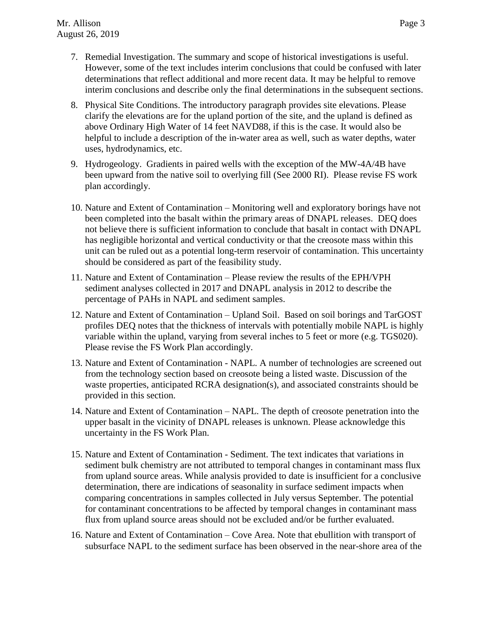- 7. Remedial Investigation. The summary and scope of historical investigations is useful. However, some of the text includes interim conclusions that could be confused with later determinations that reflect additional and more recent data. It may be helpful to remove interim conclusions and describe only the final determinations in the subsequent sections.
- 8. Physical Site Conditions. The introductory paragraph provides site elevations. Please clarify the elevations are for the upland portion of the site, and the upland is defined as above Ordinary High Water of 14 feet NAVD88, if this is the case. It would also be helpful to include a description of the in-water area as well, such as water depths, water uses, hydrodynamics, etc.
- 9. Hydrogeology. Gradients in paired wells with the exception of the MW-4A/4B have been upward from the native soil to overlying fill (See 2000 RI). Please revise FS work plan accordingly.
- 10. Nature and Extent of Contamination Monitoring well and exploratory borings have not been completed into the basalt within the primary areas of DNAPL releases. DEQ does not believe there is sufficient information to conclude that basalt in contact with DNAPL has negligible horizontal and vertical conductivity or that the creosote mass within this unit can be ruled out as a potential long-term reservoir of contamination. This uncertainty should be considered as part of the feasibility study.
- 11. Nature and Extent of Contamination Please review the results of the EPH/VPH sediment analyses collected in 2017 and DNAPL analysis in 2012 to describe the percentage of PAHs in NAPL and sediment samples.
- 12. Nature and Extent of Contamination Upland Soil. Based on soil borings and TarGOST profiles DEQ notes that the thickness of intervals with potentially mobile NAPL is highly variable within the upland, varying from several inches to 5 feet or more (e.g. TGS020). Please revise the FS Work Plan accordingly.
- 13. Nature and Extent of Contamination NAPL. A number of technologies are screened out from the technology section based on creosote being a listed waste. Discussion of the waste properties, anticipated RCRA designation(s), and associated constraints should be provided in this section.
- 14. Nature and Extent of Contamination NAPL. The depth of creosote penetration into the upper basalt in the vicinity of DNAPL releases is unknown. Please acknowledge this uncertainty in the FS Work Plan.
- 15. Nature and Extent of Contamination Sediment. The text indicates that variations in sediment bulk chemistry are not attributed to temporal changes in contaminant mass flux from upland source areas. While analysis provided to date is insufficient for a conclusive determination, there are indications of seasonality in surface sediment impacts when comparing concentrations in samples collected in July versus September. The potential for contaminant concentrations to be affected by temporal changes in contaminant mass flux from upland source areas should not be excluded and/or be further evaluated.
- 16. Nature and Extent of Contamination Cove Area. Note that ebullition with transport of subsurface NAPL to the sediment surface has been observed in the near-shore area of the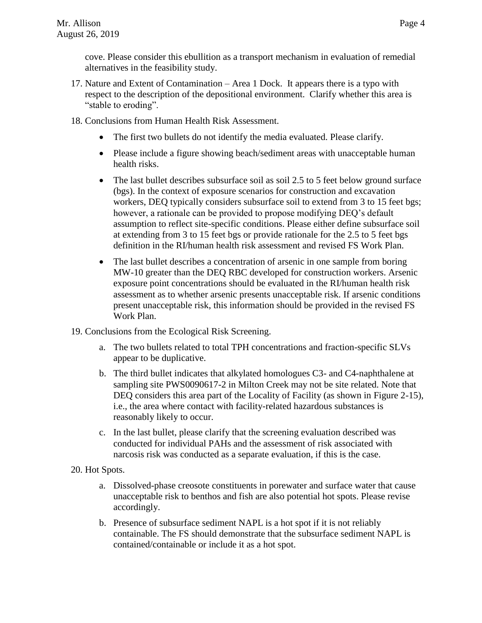cove. Please consider this ebullition as a transport mechanism in evaluation of remedial alternatives in the feasibility study.

- 17. Nature and Extent of Contamination Area 1 Dock. It appears there is a typo with respect to the description of the depositional environment. Clarify whether this area is "stable to eroding".
- 18. Conclusions from Human Health Risk Assessment.
	- The first two bullets do not identify the media evaluated. Please clarify.
	- Please include a figure showing beach/sediment areas with unacceptable human health risks.
	- The last bullet describes subsurface soil as soil 2.5 to 5 feet below ground surface (bgs). In the context of exposure scenarios for construction and excavation workers, DEQ typically considers subsurface soil to extend from 3 to 15 feet bgs; however, a rationale can be provided to propose modifying DEQ's default assumption to reflect site-specific conditions. Please either define subsurface soil at extending from 3 to 15 feet bgs or provide rationale for the 2.5 to 5 feet bgs definition in the RI/human health risk assessment and revised FS Work Plan.
	- The last bullet describes a concentration of arsenic in one sample from boring MW-10 greater than the DEQ RBC developed for construction workers. Arsenic exposure point concentrations should be evaluated in the RI/human health risk assessment as to whether arsenic presents unacceptable risk. If arsenic conditions present unacceptable risk, this information should be provided in the revised FS Work Plan.
- 19. Conclusions from the Ecological Risk Screening.
	- a. The two bullets related to total TPH concentrations and fraction-specific SLVs appear to be duplicative.
	- b. The third bullet indicates that alkylated homologues C3- and C4-naphthalene at sampling site PWS0090617-2 in Milton Creek may not be site related. Note that DEQ considers this area part of the Locality of Facility (as shown in Figure 2-15), i.e., the area where contact with facility-related hazardous substances is reasonably likely to occur.
	- c. In the last bullet, please clarify that the screening evaluation described was conducted for individual PAHs and the assessment of risk associated with narcosis risk was conducted as a separate evaluation, if this is the case.
- 20. Hot Spots.
	- a. Dissolved-phase creosote constituents in porewater and surface water that cause unacceptable risk to benthos and fish are also potential hot spots. Please revise accordingly.
	- b. Presence of subsurface sediment NAPL is a hot spot if it is not reliably containable. The FS should demonstrate that the subsurface sediment NAPL is contained/containable or include it as a hot spot.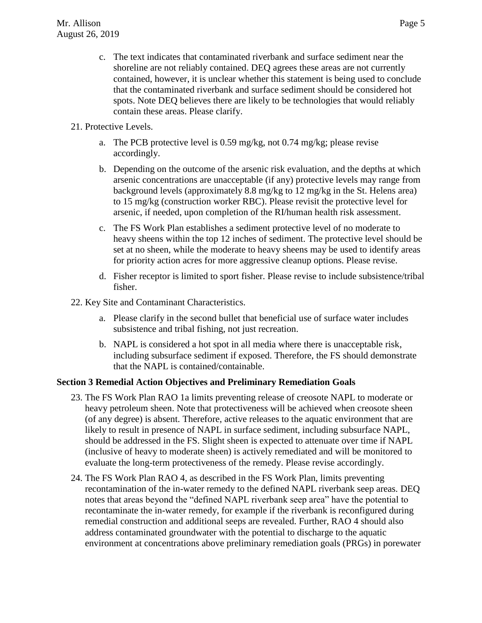- c. The text indicates that contaminated riverbank and surface sediment near the shoreline are not reliably contained. DEQ agrees these areas are not currently contained, however, it is unclear whether this statement is being used to conclude that the contaminated riverbank and surface sediment should be considered hot spots. Note DEQ believes there are likely to be technologies that would reliably contain these areas. Please clarify.
- 21. Protective Levels.
	- a. The PCB protective level is 0.59 mg/kg, not 0.74 mg/kg; please revise accordingly.
	- b. Depending on the outcome of the arsenic risk evaluation, and the depths at which arsenic concentrations are unacceptable (if any) protective levels may range from background levels (approximately 8.8 mg/kg to 12 mg/kg in the St. Helens area) to 15 mg/kg (construction worker RBC). Please revisit the protective level for arsenic, if needed, upon completion of the RI/human health risk assessment.
	- c. The FS Work Plan establishes a sediment protective level of no moderate to heavy sheens within the top 12 inches of sediment. The protective level should be set at no sheen, while the moderate to heavy sheens may be used to identify areas for priority action acres for more aggressive cleanup options. Please revise.
	- d. Fisher receptor is limited to sport fisher. Please revise to include subsistence/tribal fisher.
- 22. Key Site and Contaminant Characteristics.
	- a. Please clarify in the second bullet that beneficial use of surface water includes subsistence and tribal fishing, not just recreation.
	- b. NAPL is considered a hot spot in all media where there is unacceptable risk, including subsurface sediment if exposed. Therefore, the FS should demonstrate that the NAPL is contained/containable.

# **Section 3 Remedial Action Objectives and Preliminary Remediation Goals**

- 23. The FS Work Plan RAO 1a limits preventing release of creosote NAPL to moderate or heavy petroleum sheen. Note that protectiveness will be achieved when creosote sheen (of any degree) is absent. Therefore, active releases to the aquatic environment that are likely to result in presence of NAPL in surface sediment, including subsurface NAPL, should be addressed in the FS. Slight sheen is expected to attenuate over time if NAPL (inclusive of heavy to moderate sheen) is actively remediated and will be monitored to evaluate the long-term protectiveness of the remedy. Please revise accordingly.
- 24. The FS Work Plan RAO 4, as described in the FS Work Plan, limits preventing recontamination of the in-water remedy to the defined NAPL riverbank seep areas. DEQ notes that areas beyond the "defined NAPL riverbank seep area" have the potential to recontaminate the in-water remedy, for example if the riverbank is reconfigured during remedial construction and additional seeps are revealed. Further, RAO 4 should also address contaminated groundwater with the potential to discharge to the aquatic environment at concentrations above preliminary remediation goals (PRGs) in porewater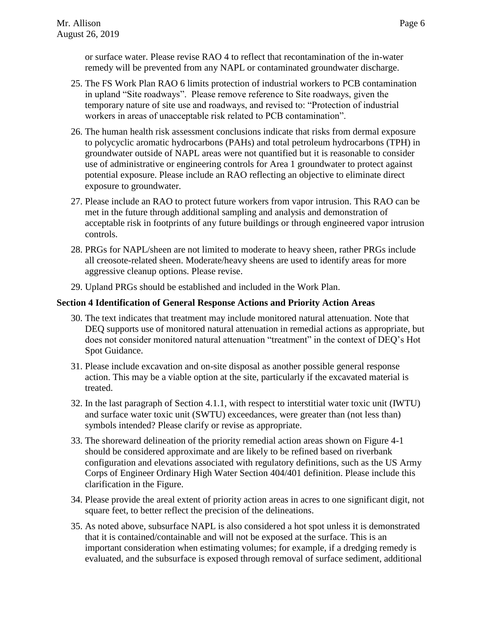or surface water. Please revise RAO 4 to reflect that recontamination of the in-water remedy will be prevented from any NAPL or contaminated groundwater discharge.

- 25. The FS Work Plan RAO 6 limits protection of industrial workers to PCB contamination in upland "Site roadways". Please remove reference to Site roadways, given the temporary nature of site use and roadways, and revised to: "Protection of industrial workers in areas of unacceptable risk related to PCB contamination".
- 26. The human health risk assessment conclusions indicate that risks from dermal exposure to polycyclic aromatic hydrocarbons (PAHs) and total petroleum hydrocarbons (TPH) in groundwater outside of NAPL areas were not quantified but it is reasonable to consider use of administrative or engineering controls for Area 1 groundwater to protect against potential exposure. Please include an RAO reflecting an objective to eliminate direct exposure to groundwater.
- 27. Please include an RAO to protect future workers from vapor intrusion. This RAO can be met in the future through additional sampling and analysis and demonstration of acceptable risk in footprints of any future buildings or through engineered vapor intrusion controls.
- 28. PRGs for NAPL/sheen are not limited to moderate to heavy sheen, rather PRGs include all creosote-related sheen. Moderate/heavy sheens are used to identify areas for more aggressive cleanup options. Please revise.
- 29. Upland PRGs should be established and included in the Work Plan.

### **Section 4 Identification of General Response Actions and Priority Action Areas**

- 30. The text indicates that treatment may include monitored natural attenuation. Note that DEQ supports use of monitored natural attenuation in remedial actions as appropriate, but does not consider monitored natural attenuation "treatment" in the context of DEQ's Hot Spot Guidance.
- 31. Please include excavation and on-site disposal as another possible general response action. This may be a viable option at the site, particularly if the excavated material is treated.
- 32. In the last paragraph of Section 4.1.1, with respect to interstitial water toxic unit (IWTU) and surface water toxic unit (SWTU) exceedances, were greater than (not less than) symbols intended? Please clarify or revise as appropriate.
- 33. The shoreward delineation of the priority remedial action areas shown on Figure 4-1 should be considered approximate and are likely to be refined based on riverbank configuration and elevations associated with regulatory definitions, such as the US Army Corps of Engineer Ordinary High Water Section 404/401 definition. Please include this clarification in the Figure.
- 34. Please provide the areal extent of priority action areas in acres to one significant digit, not square feet, to better reflect the precision of the delineations.
- 35. As noted above, subsurface NAPL is also considered a hot spot unless it is demonstrated that it is contained/containable and will not be exposed at the surface. This is an important consideration when estimating volumes; for example, if a dredging remedy is evaluated, and the subsurface is exposed through removal of surface sediment, additional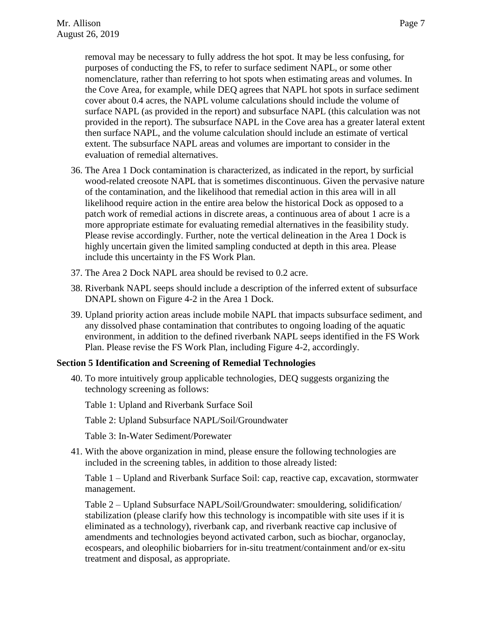removal may be necessary to fully address the hot spot. It may be less confusing, for purposes of conducting the FS, to refer to surface sediment NAPL, or some other nomenclature, rather than referring to hot spots when estimating areas and volumes. In the Cove Area, for example, while DEQ agrees that NAPL hot spots in surface sediment cover about 0.4 acres, the NAPL volume calculations should include the volume of surface NAPL (as provided in the report) and subsurface NAPL (this calculation was not provided in the report). The subsurface NAPL in the Cove area has a greater lateral extent then surface NAPL, and the volume calculation should include an estimate of vertical extent. The subsurface NAPL areas and volumes are important to consider in the evaluation of remedial alternatives.

- 36. The Area 1 Dock contamination is characterized, as indicated in the report, by surficial wood-related creosote NAPL that is sometimes discontinuous. Given the pervasive nature of the contamination, and the likelihood that remedial action in this area will in all likelihood require action in the entire area below the historical Dock as opposed to a patch work of remedial actions in discrete areas, a continuous area of about 1 acre is a more appropriate estimate for evaluating remedial alternatives in the feasibility study. Please revise accordingly. Further, note the vertical delineation in the Area 1 Dock is highly uncertain given the limited sampling conducted at depth in this area. Please include this uncertainty in the FS Work Plan.
- 37. The Area 2 Dock NAPL area should be revised to 0.2 acre.
- 38. Riverbank NAPL seeps should include a description of the inferred extent of subsurface DNAPL shown on Figure 4-2 in the Area 1 Dock.
- 39. Upland priority action areas include mobile NAPL that impacts subsurface sediment, and any dissolved phase contamination that contributes to ongoing loading of the aquatic environment, in addition to the defined riverbank NAPL seeps identified in the FS Work Plan. Please revise the FS Work Plan, including Figure 4-2, accordingly.

#### **Section 5 Identification and Screening of Remedial Technologies**

40. To more intuitively group applicable technologies, DEQ suggests organizing the technology screening as follows:

Table 1: Upland and Riverbank Surface Soil

Table 2: Upland Subsurface NAPL/Soil/Groundwater

Table 3: In-Water Sediment/Porewater

41. With the above organization in mind, please ensure the following technologies are included in the screening tables, in addition to those already listed:

Table 1 – Upland and Riverbank Surface Soil: cap, reactive cap, excavation, stormwater management.

Table 2 – Upland Subsurface NAPL/Soil/Groundwater: smouldering, solidification/ stabilization (please clarify how this technology is incompatible with site uses if it is eliminated as a technology), riverbank cap, and riverbank reactive cap inclusive of amendments and technologies beyond activated carbon, such as biochar, organoclay, ecospears, and oleophilic biobarriers for in-situ treatment/containment and/or ex-situ treatment and disposal, as appropriate.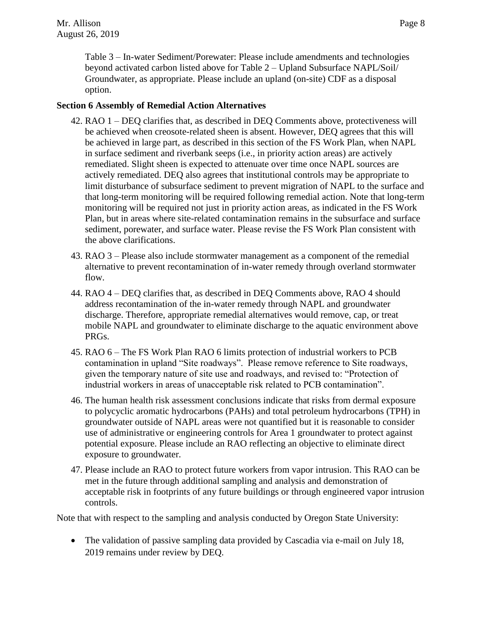Table 3 – In-water Sediment/Porewater: Please include amendments and technologies beyond activated carbon listed above for Table 2 – Upland Subsurface NAPL/Soil/ Groundwater, as appropriate. Please include an upland (on-site) CDF as a disposal option.

## **Section 6 Assembly of Remedial Action Alternatives**

- 42. RAO 1 DEQ clarifies that, as described in DEQ Comments above, protectiveness will be achieved when creosote-related sheen is absent. However, DEQ agrees that this will be achieved in large part, as described in this section of the FS Work Plan, when NAPL in surface sediment and riverbank seeps (i.e., in priority action areas) are actively remediated. Slight sheen is expected to attenuate over time once NAPL sources are actively remediated. DEQ also agrees that institutional controls may be appropriate to limit disturbance of subsurface sediment to prevent migration of NAPL to the surface and that long-term monitoring will be required following remedial action. Note that long-term monitoring will be required not just in priority action areas, as indicated in the FS Work Plan, but in areas where site-related contamination remains in the subsurface and surface sediment, porewater, and surface water. Please revise the FS Work Plan consistent with the above clarifications.
- 43. RAO 3 Please also include stormwater management as a component of the remedial alternative to prevent recontamination of in-water remedy through overland stormwater flow.
- 44. RAO 4 DEQ clarifies that, as described in DEQ Comments above, RAO 4 should address recontamination of the in-water remedy through NAPL and groundwater discharge. Therefore, appropriate remedial alternatives would remove, cap, or treat mobile NAPL and groundwater to eliminate discharge to the aquatic environment above PRGs.
- 45. RAO 6 The FS Work Plan RAO 6 limits protection of industrial workers to PCB contamination in upland "Site roadways". Please remove reference to Site roadways, given the temporary nature of site use and roadways, and revised to: "Protection of industrial workers in areas of unacceptable risk related to PCB contamination".
- 46. The human health risk assessment conclusions indicate that risks from dermal exposure to polycyclic aromatic hydrocarbons (PAHs) and total petroleum hydrocarbons (TPH) in groundwater outside of NAPL areas were not quantified but it is reasonable to consider use of administrative or engineering controls for Area 1 groundwater to protect against potential exposure. Please include an RAO reflecting an objective to eliminate direct exposure to groundwater.
- 47. Please include an RAO to protect future workers from vapor intrusion. This RAO can be met in the future through additional sampling and analysis and demonstration of acceptable risk in footprints of any future buildings or through engineered vapor intrusion controls.

Note that with respect to the sampling and analysis conducted by Oregon State University:

• The validation of passive sampling data provided by Cascadia via e-mail on July 18, 2019 remains under review by DEQ.